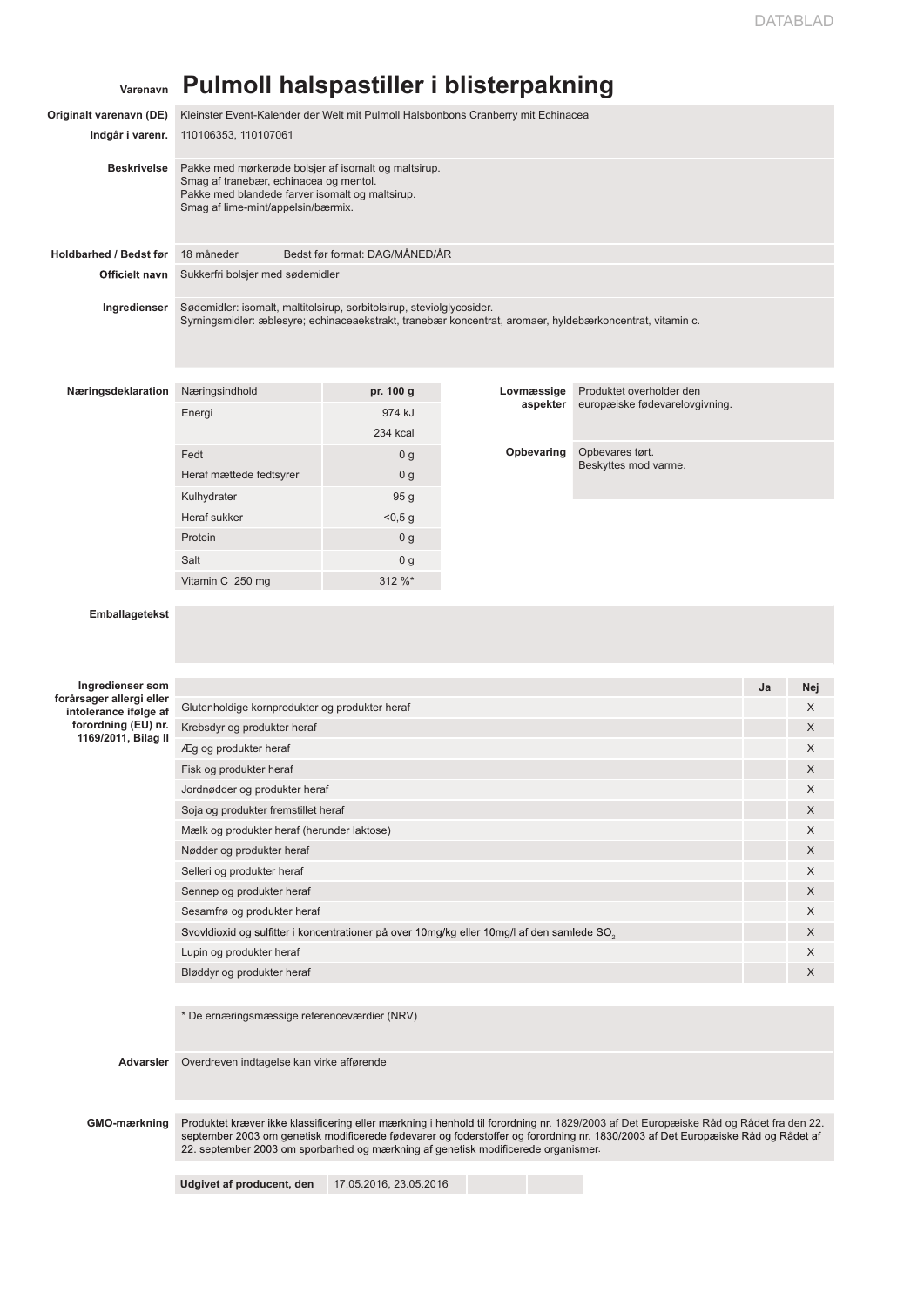## **Varenavn Pulmoll halspastiller i blisterpakning**

| Originalt varenavn (DE)                                        | Kleinster Event-Kalender der Welt mit Pulmoll Halsbonbons Cranberry mit Echinacea                                                                                                                                                                                                                                                                             |                                |            |                                |    |        |
|----------------------------------------------------------------|---------------------------------------------------------------------------------------------------------------------------------------------------------------------------------------------------------------------------------------------------------------------------------------------------------------------------------------------------------------|--------------------------------|------------|--------------------------------|----|--------|
| Indgår i varenr.                                               | 110106353, 110107061                                                                                                                                                                                                                                                                                                                                          |                                |            |                                |    |        |
| <b>Beskrivelse</b>                                             | Pakke med mørkerøde bolsjer af isomalt og maltsirup.<br>Smag af tranebær, echinacea og mentol.<br>Pakke med blandede farver isomalt og maltsirup.<br>Smag af lime-mint/appelsin/bærmix.                                                                                                                                                                       |                                |            |                                |    |        |
| <b>Holdbarhed / Bedst før</b>                                  | 18 måneder                                                                                                                                                                                                                                                                                                                                                    | Bedst før format: DAG/MÅNED/ÅR |            |                                |    |        |
| Officielt navn                                                 | Sukkerfri bolsjer med sødemidler                                                                                                                                                                                                                                                                                                                              |                                |            |                                |    |        |
|                                                                |                                                                                                                                                                                                                                                                                                                                                               |                                |            |                                |    |        |
| Ingredienser                                                   | Sødemidler: isomalt, maltitolsirup, sorbitolsirup, steviolglycosider.<br>Syrningsmidler: æblesyre; echinaceaekstrakt, tranebær koncentrat, aromaer, hyldebærkoncentrat, vitamin c.                                                                                                                                                                            |                                |            |                                |    |        |
| Næringsdeklaration                                             | Næringsindhold                                                                                                                                                                                                                                                                                                                                                | pr. 100 g                      | Lovmæssige | Produktet overholder den       |    |        |
|                                                                | Energi                                                                                                                                                                                                                                                                                                                                                        | 974 kJ                         | aspekter   | europæiske fødevarelovgivning. |    |        |
|                                                                |                                                                                                                                                                                                                                                                                                                                                               | <b>234 kcal</b>                |            |                                |    |        |
|                                                                | Fedt                                                                                                                                                                                                                                                                                                                                                          | 0 <sub>g</sub>                 | Opbevaring | Opbevares tørt.                |    |        |
|                                                                | Heraf mættede fedtsyrer                                                                                                                                                                                                                                                                                                                                       | 0 <sub>g</sub>                 |            | Beskyttes mod varme.           |    |        |
|                                                                | Kulhydrater                                                                                                                                                                                                                                                                                                                                                   | 95 g                           |            |                                |    |        |
|                                                                | Heraf sukker                                                                                                                                                                                                                                                                                                                                                  | < 0.5 g                        |            |                                |    |        |
|                                                                | Protein                                                                                                                                                                                                                                                                                                                                                       | 0 <sub>g</sub>                 |            |                                |    |        |
|                                                                | Salt                                                                                                                                                                                                                                                                                                                                                          | 0 <sub>g</sub>                 |            |                                |    |        |
|                                                                | Vitamin C 250 mg                                                                                                                                                                                                                                                                                                                                              | 312 %*                         |            |                                |    |        |
| Emballagetekst<br>Ingredienser som<br>forårsager allergi eller |                                                                                                                                                                                                                                                                                                                                                               |                                |            |                                | Ja | Nej    |
| intolerance ifølge af                                          | Glutenholdige kornprodukter og produkter heraf                                                                                                                                                                                                                                                                                                                |                                |            |                                |    | X      |
| forordning (EU) nr.<br>1169/2011, Bilag II                     | Krebsdyr og produkter heraf                                                                                                                                                                                                                                                                                                                                   |                                |            |                                |    | X      |
|                                                                | Æg og produkter heraf                                                                                                                                                                                                                                                                                                                                         |                                |            |                                |    | X      |
|                                                                | Fisk og produkter heraf                                                                                                                                                                                                                                                                                                                                       |                                |            |                                |    | X      |
|                                                                | Jordnødder og produkter heraf                                                                                                                                                                                                                                                                                                                                 |                                |            |                                |    | X      |
|                                                                | Soja og produkter fremstillet heraf                                                                                                                                                                                                                                                                                                                           |                                |            |                                |    | X      |
|                                                                | Mælk og produkter heraf (herunder laktose)                                                                                                                                                                                                                                                                                                                    |                                |            |                                |    | X      |
|                                                                | Nødder og produkter heraf                                                                                                                                                                                                                                                                                                                                     |                                |            |                                |    | X      |
|                                                                | Selleri og produkter heraf                                                                                                                                                                                                                                                                                                                                    |                                |            |                                |    | X      |
|                                                                | Sennep og produkter heraf                                                                                                                                                                                                                                                                                                                                     |                                |            |                                |    | X      |
|                                                                | Sesamfrø og produkter heraf<br>Svovldioxid og sulfitter i koncentrationer på over 10mg/kg eller 10mg/l af den samlede SO <sub>2</sub>                                                                                                                                                                                                                         |                                |            |                                |    | X<br>X |
|                                                                | Lupin og produkter heraf                                                                                                                                                                                                                                                                                                                                      |                                |            |                                |    | X      |
|                                                                | Bløddyr og produkter heraf                                                                                                                                                                                                                                                                                                                                    |                                |            |                                |    | X      |
|                                                                |                                                                                                                                                                                                                                                                                                                                                               |                                |            |                                |    |        |
|                                                                | * De ernæringsmæssige referenceværdier (NRV)                                                                                                                                                                                                                                                                                                                  |                                |            |                                |    |        |
| Advarsler                                                      | Overdreven indtagelse kan virke afførende                                                                                                                                                                                                                                                                                                                     |                                |            |                                |    |        |
| GMO-mærkning                                                   | Produktet kræver ikke klassificering eller mærkning i henhold til forordning nr. 1829/2003 af Det Europæiske Råd og Rådet fra den 22.<br>september 2003 om genetisk modificerede fødevarer og foderstoffer og forordning nr. 1830/2003 af Det Europæiske Råd og Rådet af<br>22. september 2003 om sporbarhed og mærkning af genetisk modificerede organismer. |                                |            |                                |    |        |
|                                                                | Udgivet af producent, den                                                                                                                                                                                                                                                                                                                                     | 17.05.2016, 23.05.2016         |            |                                |    |        |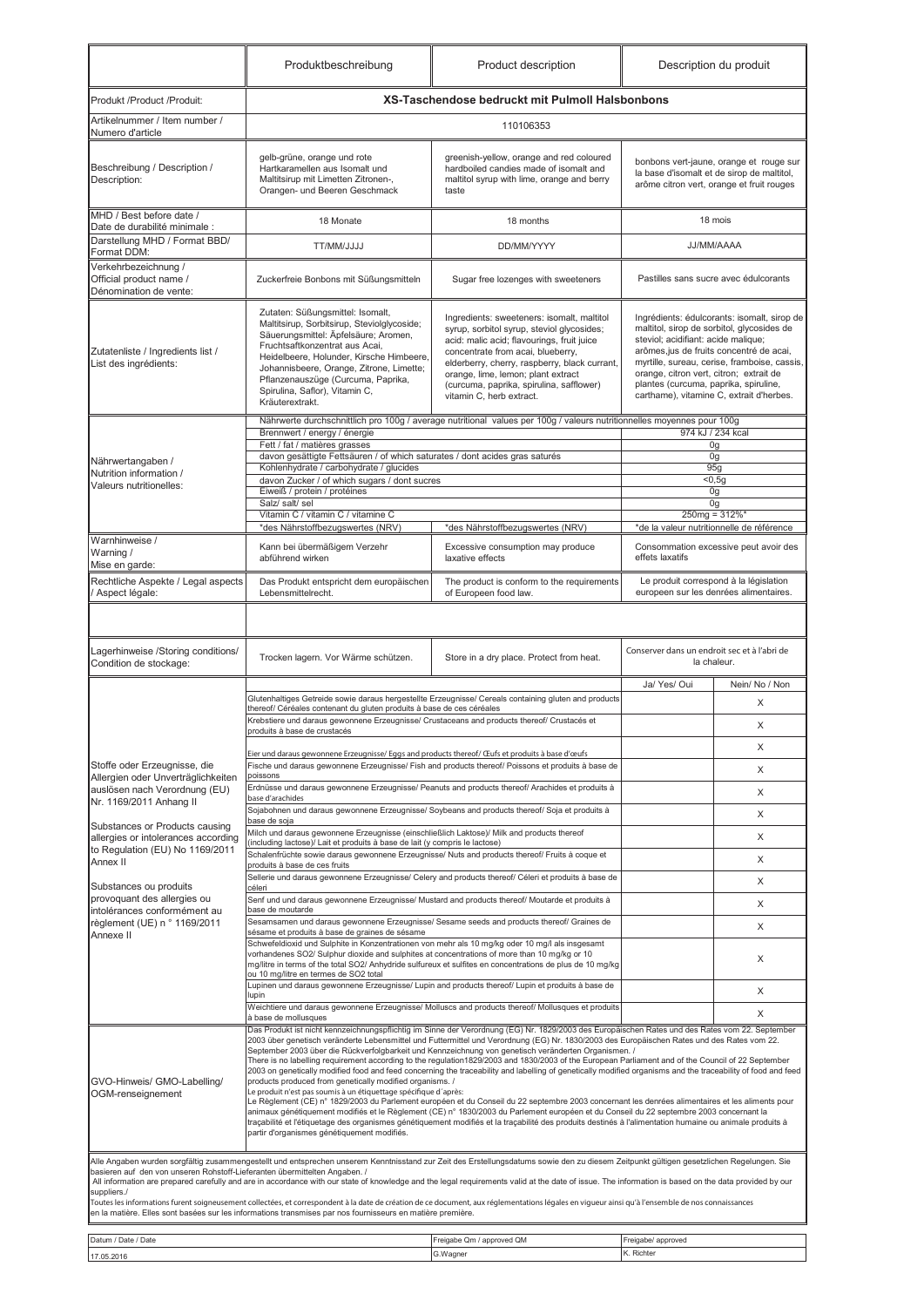|                                                                                           | Produktbeschreibung                                                                                                                                                                                                                                                                                                                                                                                                                                                                                                                                                                                                                                                                                                                                                                                                                                                                                                                                                                                                                                                                                                                                                                                                                                                                                                                                                                            | Product description                                                                                                                                                                                                                                                                                                                                                                                                                                                                                                                                                                                   | Description du produit                                                                                                                                                                                                                                                                                                                                       |                                                                                  |  |
|-------------------------------------------------------------------------------------------|------------------------------------------------------------------------------------------------------------------------------------------------------------------------------------------------------------------------------------------------------------------------------------------------------------------------------------------------------------------------------------------------------------------------------------------------------------------------------------------------------------------------------------------------------------------------------------------------------------------------------------------------------------------------------------------------------------------------------------------------------------------------------------------------------------------------------------------------------------------------------------------------------------------------------------------------------------------------------------------------------------------------------------------------------------------------------------------------------------------------------------------------------------------------------------------------------------------------------------------------------------------------------------------------------------------------------------------------------------------------------------------------|-------------------------------------------------------------------------------------------------------------------------------------------------------------------------------------------------------------------------------------------------------------------------------------------------------------------------------------------------------------------------------------------------------------------------------------------------------------------------------------------------------------------------------------------------------------------------------------------------------|--------------------------------------------------------------------------------------------------------------------------------------------------------------------------------------------------------------------------------------------------------------------------------------------------------------------------------------------------------------|----------------------------------------------------------------------------------|--|
| Produkt /Product /Produit:                                                                |                                                                                                                                                                                                                                                                                                                                                                                                                                                                                                                                                                                                                                                                                                                                                                                                                                                                                                                                                                                                                                                                                                                                                                                                                                                                                                                                                                                                | <b>XS-Taschendose bedruckt mit Pulmoll Halsbonbons</b>                                                                                                                                                                                                                                                                                                                                                                                                                                                                                                                                                |                                                                                                                                                                                                                                                                                                                                                              |                                                                                  |  |
| Artikelnummer / Item number /<br>Numero d'article                                         |                                                                                                                                                                                                                                                                                                                                                                                                                                                                                                                                                                                                                                                                                                                                                                                                                                                                                                                                                                                                                                                                                                                                                                                                                                                                                                                                                                                                | 110106353                                                                                                                                                                                                                                                                                                                                                                                                                                                                                                                                                                                             |                                                                                                                                                                                                                                                                                                                                                              |                                                                                  |  |
| Beschreibung / Description /<br>Description:                                              | gelb-grüne, orange und rote<br>Hartkaramellen aus Isomalt und<br>Maltitsirup mit Limetten Zitronen-,<br>Orangen- und Beeren Geschmack                                                                                                                                                                                                                                                                                                                                                                                                                                                                                                                                                                                                                                                                                                                                                                                                                                                                                                                                                                                                                                                                                                                                                                                                                                                          | greenish-yellow, orange and red coloured<br>hardboiled candies made of isomalt and<br>maltitol syrup with lime, orange and berry<br>taste                                                                                                                                                                                                                                                                                                                                                                                                                                                             | bonbons vert-jaune, orange et rouge sur<br>la base d'isomalt et de sirop de maltitol,<br>arôme citron vert, orange et fruit rouges                                                                                                                                                                                                                           |                                                                                  |  |
| MHD / Best before date /<br>Date de durabilité minimale :                                 | 18 Monate                                                                                                                                                                                                                                                                                                                                                                                                                                                                                                                                                                                                                                                                                                                                                                                                                                                                                                                                                                                                                                                                                                                                                                                                                                                                                                                                                                                      | 18 months                                                                                                                                                                                                                                                                                                                                                                                                                                                                                                                                                                                             | 18 mois                                                                                                                                                                                                                                                                                                                                                      |                                                                                  |  |
| Darstellung MHD / Format BBD/<br>Format DDM:                                              | DD/MM/YYYY<br><b>ULLUMM/JJJJ</b>                                                                                                                                                                                                                                                                                                                                                                                                                                                                                                                                                                                                                                                                                                                                                                                                                                                                                                                                                                                                                                                                                                                                                                                                                                                                                                                                                               |                                                                                                                                                                                                                                                                                                                                                                                                                                                                                                                                                                                                       | JJ/MM/AAAA                                                                                                                                                                                                                                                                                                                                                   |                                                                                  |  |
| Verkehrbezeichnung /<br>Official product name /<br>Dénomination de vente:                 | Zuckerfreie Bonbons mit Süßungsmitteln                                                                                                                                                                                                                                                                                                                                                                                                                                                                                                                                                                                                                                                                                                                                                                                                                                                                                                                                                                                                                                                                                                                                                                                                                                                                                                                                                         | Sugar free lozenges with sweeteners                                                                                                                                                                                                                                                                                                                                                                                                                                                                                                                                                                   | Pastilles sans sucre avec édulcorants                                                                                                                                                                                                                                                                                                                        |                                                                                  |  |
| Zutatenliste / Ingredients list /<br>List des ingrédients:                                | Zutaten: Süßungsmittel: Isomalt,<br>Maltitsirup, Sorbitsirup, Steviolglycoside;<br>Säuerungsmittel: Äpfelsäure; Aromen,<br>Fruchtsaftkonzentrat aus Acai,<br>Heidelbeere, Holunder, Kirsche Himbeere,<br>Johannisbeere, Orange, Zitrone, Limette;<br>Pflanzenauszüge (Curcuma, Paprika,<br>Spirulina, Saflor), Vitamin C,<br>Kräuterextrakt.                                                                                                                                                                                                                                                                                                                                                                                                                                                                                                                                                                                                                                                                                                                                                                                                                                                                                                                                                                                                                                                   | Ingredients: sweeteners: isomalt, maltitol<br>syrup, sorbitol syrup, steviol glycosides;<br>acid: malic acid; flavourings, fruit juice<br>concentrate from acai, blueberry,<br>elderberry, cherry, raspberry, black currant,<br>orange, lime, lemon; plant extract<br>(curcuma, paprika, spirulina, safflower)<br>vitamin C, herb extract.                                                                                                                                                                                                                                                            | Ingrédients: édulcorants: isomalt, sirop de<br>maltitol, sirop de sorbitol, glycosides de<br>steviol; acidifiant: acide malique;<br>arômes, jus de fruits concentré de acai,<br>myrtille, sureau, cerise, framboise, cassis,<br>orange, citron vert, citron; extrait de<br>plantes (curcuma, paprika, spiruline,<br>carthame), vitamine C, extrait d'herbes. |                                                                                  |  |
|                                                                                           | Brennwert / energy / énergie                                                                                                                                                                                                                                                                                                                                                                                                                                                                                                                                                                                                                                                                                                                                                                                                                                                                                                                                                                                                                                                                                                                                                                                                                                                                                                                                                                   | Nährwerte durchschnittlich pro 100g / average nutritional values per 100g / valeurs nutritionnelles moyennes pour 100g                                                                                                                                                                                                                                                                                                                                                                                                                                                                                | 974 kJ / 234 kcal                                                                                                                                                                                                                                                                                                                                            |                                                                                  |  |
| Nährwertangaben /                                                                         | Fett / fat / matières grasses<br>davon gesättigte Fettsäuren / of which saturates / dont acides gras saturés                                                                                                                                                                                                                                                                                                                                                                                                                                                                                                                                                                                                                                                                                                                                                                                                                                                                                                                                                                                                                                                                                                                                                                                                                                                                                   |                                                                                                                                                                                                                                                                                                                                                                                                                                                                                                                                                                                                       | 0g<br>0g                                                                                                                                                                                                                                                                                                                                                     |                                                                                  |  |
| Nutrition information /<br>Valeurs nutritionelles:                                        | Kohlenhydrate / carbohydrate / glucides<br>davon Zucker / of which sugars / dont sucres<br>Eiweiß / protein / protéines<br>Salz/ salt/ sel<br>Vitamin C / vitamin C / vitamine C                                                                                                                                                                                                                                                                                                                                                                                                                                                                                                                                                                                                                                                                                                                                                                                                                                                                                                                                                                                                                                                                                                                                                                                                               | 95g<br>$\sqrt{60,5g}$<br>0g<br>0g<br>$250mg = 312\%$ *                                                                                                                                                                                                                                                                                                                                                                                                                                                                                                                                                |                                                                                                                                                                                                                                                                                                                                                              |                                                                                  |  |
|                                                                                           | *des Nährstoffbezugswertes (NRV)                                                                                                                                                                                                                                                                                                                                                                                                                                                                                                                                                                                                                                                                                                                                                                                                                                                                                                                                                                                                                                                                                                                                                                                                                                                                                                                                                               | *des Nährstoffbezugswertes (NRV)                                                                                                                                                                                                                                                                                                                                                                                                                                                                                                                                                                      |                                                                                                                                                                                                                                                                                                                                                              | *de la valeur nutritionnelle de référence                                        |  |
| Warnhinweise /<br>Warning /<br>Mise en garde:                                             | Kann bei übermäßigem Verzehr<br>abführend wirken                                                                                                                                                                                                                                                                                                                                                                                                                                                                                                                                                                                                                                                                                                                                                                                                                                                                                                                                                                                                                                                                                                                                                                                                                                                                                                                                               | Excessive consumption may produce<br>laxative effects                                                                                                                                                                                                                                                                                                                                                                                                                                                                                                                                                 | Consommation excessive peut avoir des<br>effets laxatifs                                                                                                                                                                                                                                                                                                     |                                                                                  |  |
| Rechtliche Aspekte / Legal aspects<br>Aspect légale:                                      | Das Produkt entspricht dem europäischen<br>Lebensmittelrecht.                                                                                                                                                                                                                                                                                                                                                                                                                                                                                                                                                                                                                                                                                                                                                                                                                                                                                                                                                                                                                                                                                                                                                                                                                                                                                                                                  | The product is conform to the requirements<br>of Europeen food law.                                                                                                                                                                                                                                                                                                                                                                                                                                                                                                                                   |                                                                                                                                                                                                                                                                                                                                                              | Le produit correspond à la législation<br>europeen sur les denrées alimentaires. |  |
| Lagerhinweise /Storing conditions/                                                        |                                                                                                                                                                                                                                                                                                                                                                                                                                                                                                                                                                                                                                                                                                                                                                                                                                                                                                                                                                                                                                                                                                                                                                                                                                                                                                                                                                                                |                                                                                                                                                                                                                                                                                                                                                                                                                                                                                                                                                                                                       | Conserver dans un endroit sec et à l'abri de                                                                                                                                                                                                                                                                                                                 |                                                                                  |  |
| Condition de stockage:                                                                    | Trocken lagern. Vor Wärme schützen.<br>Store in a dry place. Protect from heat.                                                                                                                                                                                                                                                                                                                                                                                                                                                                                                                                                                                                                                                                                                                                                                                                                                                                                                                                                                                                                                                                                                                                                                                                                                                                                                                |                                                                                                                                                                                                                                                                                                                                                                                                                                                                                                                                                                                                       | la chaleur.                                                                                                                                                                                                                                                                                                                                                  |                                                                                  |  |
|                                                                                           | thereof/ Céréales contenant du gluten produits à base de ces céréales<br>Krebstiere und daraus gewonnene Erzeugnisse/ Crustaceans and products thereof/ Crustacés et<br>produits à base de crustacés                                                                                                                                                                                                                                                                                                                                                                                                                                                                                                                                                                                                                                                                                                                                                                                                                                                                                                                                                                                                                                                                                                                                                                                           | Glutenhaltiges Getreide sowie daraus hergestellte Erzeugnisse/ Cereals containing gluten and products                                                                                                                                                                                                                                                                                                                                                                                                                                                                                                 | Ja/ Yes/ Oui                                                                                                                                                                                                                                                                                                                                                 | Nein/No / Non<br>X<br>$\times$                                                   |  |
| Stoffe oder Erzeugnisse, die<br>Allergien oder Unverträglichkeiten                        | Eier und daraus gewonnene Erzeugnisse/ Eggs and products thereof/ Œufs et produits à base d'œufs<br>Fische und daraus gewonnene Erzeugnisse/ Fish and products thereof/ Poissons et produits à base de<br>poissons                                                                                                                                                                                                                                                                                                                                                                                                                                                                                                                                                                                                                                                                                                                                                                                                                                                                                                                                                                                                                                                                                                                                                                             |                                                                                                                                                                                                                                                                                                                                                                                                                                                                                                                                                                                                       | X<br>X                                                                                                                                                                                                                                                                                                                                                       |                                                                                  |  |
| auslösen nach Verordnung (EU)<br>Nr. 1169/2011 Anhang II                                  | Erdnüsse und daraus gewonnene Erzeugnisse/ Peanuts and products thereof/ Arachides et produits à<br>base d'arachides<br>Sojabohnen und daraus gewonnene Erzeugnisse/ Soybeans and products thereof/ Soja et produits à                                                                                                                                                                                                                                                                                                                                                                                                                                                                                                                                                                                                                                                                                                                                                                                                                                                                                                                                                                                                                                                                                                                                                                         |                                                                                                                                                                                                                                                                                                                                                                                                                                                                                                                                                                                                       |                                                                                                                                                                                                                                                                                                                                                              | Χ                                                                                |  |
| Substances or Products causing                                                            | base de soja                                                                                                                                                                                                                                                                                                                                                                                                                                                                                                                                                                                                                                                                                                                                                                                                                                                                                                                                                                                                                                                                                                                                                                                                                                                                                                                                                                                   |                                                                                                                                                                                                                                                                                                                                                                                                                                                                                                                                                                                                       |                                                                                                                                                                                                                                                                                                                                                              | Χ                                                                                |  |
| allergies or intolerances according<br>to Regulation (EU) No 1169/2011                    | Milch und daraus gewonnene Erzeugnisse (einschließlich Laktose)/ Milk and products thereof<br>(including lactose)/ Lait et produits à base de lait (y compris le lactose)<br>Schalenfrüchte sowie daraus gewonnene Erzeugnisse/ Nuts and products thereof/ Fruits à coque et                                                                                                                                                                                                                                                                                                                                                                                                                                                                                                                                                                                                                                                                                                                                                                                                                                                                                                                                                                                                                                                                                                                   |                                                                                                                                                                                                                                                                                                                                                                                                                                                                                                                                                                                                       |                                                                                                                                                                                                                                                                                                                                                              | X                                                                                |  |
| Annex II                                                                                  | produits à base de ces fruits                                                                                                                                                                                                                                                                                                                                                                                                                                                                                                                                                                                                                                                                                                                                                                                                                                                                                                                                                                                                                                                                                                                                                                                                                                                                                                                                                                  | Sellerie und daraus gewonnene Erzeugnisse/ Celery and products thereof/ Céleri et produits à base de                                                                                                                                                                                                                                                                                                                                                                                                                                                                                                  |                                                                                                                                                                                                                                                                                                                                                              | X                                                                                |  |
| Substances ou produits<br>provoquant des allergies ou                                     | céleri<br>Senf und und daraus gewonnene Erzeugnisse/ Mustard and products thereof/ Moutarde et produits à                                                                                                                                                                                                                                                                                                                                                                                                                                                                                                                                                                                                                                                                                                                                                                                                                                                                                                                                                                                                                                                                                                                                                                                                                                                                                      |                                                                                                                                                                                                                                                                                                                                                                                                                                                                                                                                                                                                       |                                                                                                                                                                                                                                                                                                                                                              | Χ                                                                                |  |
| intolérances conformément au<br>règlement (UE) n ° 1169/2011                              | base de moutarde<br>Sesamsamen und daraus gewonnene Erzeugnisse/ Sesame seeds and products thereof/ Graines de                                                                                                                                                                                                                                                                                                                                                                                                                                                                                                                                                                                                                                                                                                                                                                                                                                                                                                                                                                                                                                                                                                                                                                                                                                                                                 |                                                                                                                                                                                                                                                                                                                                                                                                                                                                                                                                                                                                       | Χ                                                                                                                                                                                                                                                                                                                                                            |                                                                                  |  |
| Annexe II                                                                                 | sésame et produits à base de graines de sésame<br>Schwefeldioxid und Sulphite in Konzentrationen von mehr als 10 mg/kg oder 10 mg/l als insgesamt<br>vorhandenes SO2/ Sulphur dioxide and sulphites at concentrations of more than 10 mg/kg or 10<br>mg/litre in terms of the total SO2/ Anhydride sulfureux et sulfites en concentrations de plus de 10 mg/kg                                                                                                                                                                                                                                                                                                                                                                                                                                                                                                                                                                                                                                                                                                                                                                                                                                                                                                                                                                                                                                 |                                                                                                                                                                                                                                                                                                                                                                                                                                                                                                                                                                                                       | X<br>X                                                                                                                                                                                                                                                                                                                                                       |                                                                                  |  |
|                                                                                           | ou 10 mg/litre en termes de SO2 total<br>Lupinen und daraus gewonnene Erzeugnisse/ Lupin and products thereof/ Lupin et produits à base de                                                                                                                                                                                                                                                                                                                                                                                                                                                                                                                                                                                                                                                                                                                                                                                                                                                                                                                                                                                                                                                                                                                                                                                                                                                     |                                                                                                                                                                                                                                                                                                                                                                                                                                                                                                                                                                                                       | X                                                                                                                                                                                                                                                                                                                                                            |                                                                                  |  |
|                                                                                           | lupin                                                                                                                                                                                                                                                                                                                                                                                                                                                                                                                                                                                                                                                                                                                                                                                                                                                                                                                                                                                                                                                                                                                                                                                                                                                                                                                                                                                          | Weichtiere und daraus gewonnene Erzeugnisse/ Molluscs and products thereof/ Mollusques et produits                                                                                                                                                                                                                                                                                                                                                                                                                                                                                                    |                                                                                                                                                                                                                                                                                                                                                              | X                                                                                |  |
| GVO-Hinweis/ GMO-Labelling/<br>OGM-renseignement                                          | à base de mollusques<br>Das Produkt ist nicht kennzeichnungspflichtig im Sinne der Verordnung (EG) Nr. 1829/2003 des Europäischen Rates und des Rates vom 22. September<br>2003 über genetisch veränderte Lebensmittel und Futtermittel und Verordnung (EG) Nr. 1830/2003 des Europäischen Rates und des Rates vom 22.<br>September 2003 über die Rückverfolgbarkeit und Kennzeichnung von genetisch veränderten Organismen. /<br>There is no labelling requirement according to the regulation1829/2003 and 1830/2003 of the European Parliament and of the Council of 22 September<br>2003 on genetically modified food and feed concerning the traceability and labelling of genetically modified organisms and the traceability of food and feed<br>products produced from genetically modified organisms. /<br>Le produit n'est pas soumis à un étiquettage spécifique d'après:<br>Le Règlement (CE) n° 1829/2003 du Parlement européen et du Conseil du 22 septembre 2003 concernant les denrées alimentaires et les aliments pour<br>animaux génétiquement modifiés et le Règlement (CE) n° 1830/2003 du Parlement européen et du Conseil du 22 septembre 2003 concernant la<br>traçabilité et l'étiquetage des organismes génétiquement modifiés et la traçabilité des produits destinés à l'alimentation humaine ou animale produits à<br>partir d'organismes génétiquement modifiés. |                                                                                                                                                                                                                                                                                                                                                                                                                                                                                                                                                                                                       |                                                                                                                                                                                                                                                                                                                                                              |                                                                                  |  |
| basieren auf den von unseren Rohstoff-Lieferanten übermittelten Angaben. /<br>suppliers./ | en la matière. Elles sont basées sur les informations transmises par nos fournisseurs en matière première.                                                                                                                                                                                                                                                                                                                                                                                                                                                                                                                                                                                                                                                                                                                                                                                                                                                                                                                                                                                                                                                                                                                                                                                                                                                                                     | Alle Angaben wurden sorgfältig zusammengestellt und entsprechen unserem Kenntnisstand zur Zeit des Erstellungsdatums sowie den zu diesem Zeitpunkt gültigen gesetzlichen Regelungen. Sie<br>All information are prepared carefully and are in accordance with our state of knowledge and the legal requirements valid at the date of issue. The information is based on the data provided by our<br>Toutes les informations furent soigneusement collectées, et correspondent à la date de création de ce document, aux réglementations légales en vigueur ainsi qu'à l'ensemble de nos connaissances |                                                                                                                                                                                                                                                                                                                                                              |                                                                                  |  |

| Datum / Date / Date | Freigabe Qm / approved QM | Freigabe/ approved |
|---------------------|---------------------------|--------------------|
| 17.05.2016          | G.Wagner                  | K. Richter         |